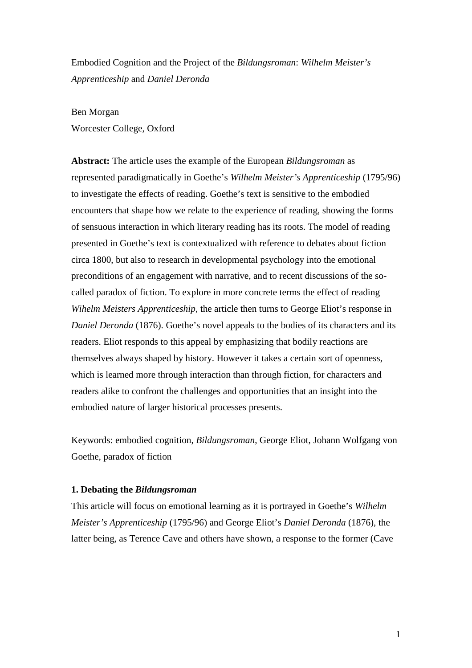Embodied Cognition and the Project of the *Bildungsroman*: *Wilhelm Meister's Apprenticeship* and *Daniel Deronda*

## Ben Morgan

Worcester College, Oxford

**Abstract:** The article uses the example of the European *Bildungsroman* as represented paradigmatically in Goethe's *Wilhelm Meister's Apprenticeship* (1795/96) to investigate the effects of reading. Goethe's text is sensitive to the embodied encounters that shape how we relate to the experience of reading, showing the forms of sensuous interaction in which literary reading has its roots. The model of reading presented in Goethe's text is contextualized with reference to debates about fiction circa 1800, but also to research in developmental psychology into the emotional preconditions of an engagement with narrative, and to recent discussions of the socalled paradox of fiction. To explore in more concrete terms the effect of reading *Wihelm Meisters Apprenticeship*, the article then turns to George Eliot's response in *Daniel Deronda* (1876). Goethe's novel appeals to the bodies of its characters and its readers. Eliot responds to this appeal by emphasizing that bodily reactions are themselves always shaped by history. However it takes a certain sort of openness, which is learned more through interaction than through fiction, for characters and readers alike to confront the challenges and opportunities that an insight into the embodied nature of larger historical processes presents.

Keywords: embodied cognition, *Bildungsroman*, George Eliot, Johann Wolfgang von Goethe, paradox of fiction

## **1. Debating the** *Bildungsroman*

This article will focus on emotional learning as it is portrayed in Goethe's *Wilhelm Meister's Apprenticeship* (1795/96) and George Eliot's *Daniel Deronda* (1876), the latter being, as Terence Cave and others have shown, a response to the former (Cave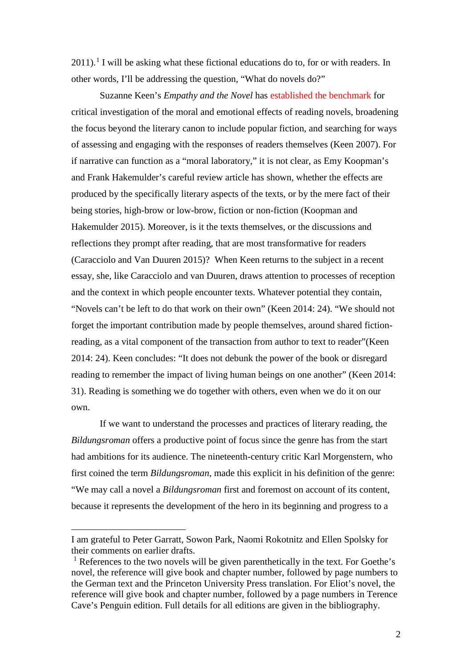$2011$  $2011$  $2011$ ).<sup>1</sup> I will be asking what these fictional educations do to, for or with readers. In other words, I'll be addressing the question, "What do novels do?"

Suzanne Keen's *Empathy and the Novel* has established the benchmark for critical investigation of the moral and emotional effects of reading novels, broadening the focus beyond the literary canon to include popular fiction, and searching for ways of assessing and engaging with the responses of readers themselves (Keen 2007). For if narrative can function as a "moral laboratory," it is not clear, as Emy Koopman's and Frank Hakemulder's careful review article has shown, whether the effects are produced by the specifically literary aspects of the texts, or by the mere fact of their being stories, high-brow or low-brow, fiction or non-fiction (Koopman and Hakemulder 2015). Moreover, is it the texts themselves, or the discussions and reflections they prompt after reading, that are most transformative for readers (Caracciolo and Van Duuren 2015)? When Keen returns to the subject in a recent essay, she, like Caracciolo and van Duuren, draws attention to processes of reception and the context in which people encounter texts. Whatever potential they contain, "Novels can't be left to do that work on their own" (Keen 2014: 24). "We should not forget the important contribution made by people themselves, around shared fictionreading, as a vital component of the transaction from author to text to reader"(Keen 2014: 24). Keen concludes: "It does not debunk the power of the book or disregard reading to remember the impact of living human beings on one another" (Keen 2014: 31). Reading is something we do together with others, even when we do it on our own.

If we want to understand the processes and practices of literary reading, the *Bildungsroman* offers a productive point of focus since the genre has from the start had ambitions for its audience. The nineteenth-century critic Karl Morgenstern, who first coined the term *Bildungsroman*, made this explicit in his definition of the genre: "We may call a novel a *Bildungsroman* first and foremost on account of its content, because it represents the development of the hero in its beginning and progress to a

<span id="page-1-0"></span>i<br>I I am grateful to Peter Garratt, Sowon Park, Naomi Rokotnitz and Ellen Spolsky for their comments on earlier drafts.

<sup>&</sup>lt;sup>1</sup> References to the two novels will be given parenthetically in the text. For Goethe's novel, the reference will give book and chapter number, followed by page numbers to the German text and the Princeton University Press translation. For Eliot's novel, the reference will give book and chapter number, followed by a page numbers in Terence Cave's Penguin edition. Full details for all editions are given in the bibliography.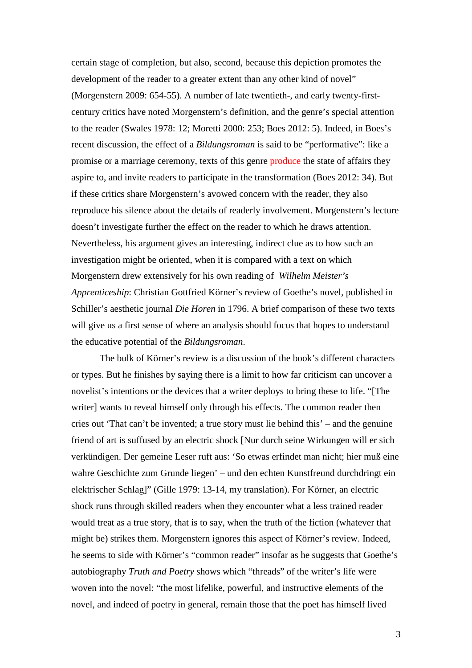certain stage of completion, but also, second, because this depiction promotes the development of the reader to a greater extent than any other kind of novel" (Morgenstern 2009: 654-55). A number of late twentieth-, and early twenty-firstcentury critics have noted Morgenstern's definition, and the genre's special attention to the reader (Swales 1978: 12; Moretti 2000: 253; Boes 2012: 5). Indeed, in Boes's recent discussion, the effect of a *Bildungsroman* is said to be "performative": like a promise or a marriage ceremony, texts of this genre produce the state of affairs they aspire to, and invite readers to participate in the transformation (Boes 2012: 34). But if these critics share Morgenstern's avowed concern with the reader, they also reproduce his silence about the details of readerly involvement. Morgenstern's lecture doesn't investigate further the effect on the reader to which he draws attention. Nevertheless, his argument gives an interesting, indirect clue as to how such an investigation might be oriented, when it is compared with a text on which Morgenstern drew extensively for his own reading of *Wilhelm Meister's Apprenticeship*: Christian Gottfried Körner's review of Goethe's novel*,* published in Schiller's aesthetic journal *Die Horen* in 1796. A brief comparison of these two texts will give us a first sense of where an analysis should focus that hopes to understand the educative potential of the *Bildungsroman*.

The bulk of Körner's review is a discussion of the book's different characters or types. But he finishes by saying there is a limit to how far criticism can uncover a novelist's intentions or the devices that a writer deploys to bring these to life. "[The writer] wants to reveal himself only through his effects. The common reader then cries out 'That can't be invented; a true story must lie behind this' – and the genuine friend of art is suffused by an electric shock [Nur durch seine Wirkungen will er sich verkündigen. Der gemeine Leser ruft aus: 'So etwas erfindet man nicht; hier muß eine wahre Geschichte zum Grunde liegen' – und den echten Kunstfreund durchdringt ein elektrischer Schlag]" (Gille 1979: 13-14, my translation). For Körner, an electric shock runs through skilled readers when they encounter what a less trained reader would treat as a true story, that is to say, when the truth of the fiction (whatever that might be) strikes them. Morgenstern ignores this aspect of Körner's review. Indeed, he seems to side with Körner's "common reader" insofar as he suggests that Goethe's autobiography *Truth and Poetry* shows which "threads" of the writer's life were woven into the novel: "the most lifelike, powerful, and instructive elements of the novel, and indeed of poetry in general, remain those that the poet has himself lived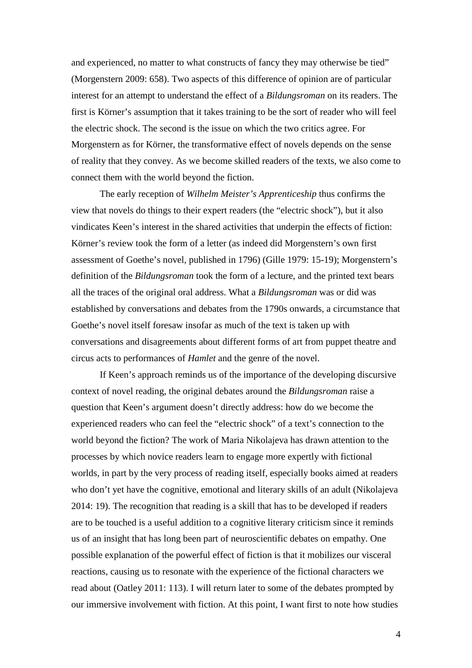and experienced, no matter to what constructs of fancy they may otherwise be tied" (Morgenstern 2009: 658). Two aspects of this difference of opinion are of particular interest for an attempt to understand the effect of a *Bildungsroman* on its readers. The first is Körner's assumption that it takes training to be the sort of reader who will feel the electric shock. The second is the issue on which the two critics agree. For Morgenstern as for Körner, the transformative effect of novels depends on the sense of reality that they convey. As we become skilled readers of the texts, we also come to connect them with the world beyond the fiction.

The early reception of *Wilhelm Meister's Apprenticeship* thus confirms the view that novels do things to their expert readers (the "electric shock"), but it also vindicates Keen's interest in the shared activities that underpin the effects of fiction: Körner's review took the form of a letter (as indeed did Morgenstern's own first assessment of Goethe's novel, published in 1796) (Gille 1979: 15-19); Morgenstern's definition of the *Bildungsroman* took the form of a lecture, and the printed text bears all the traces of the original oral address. What a *Bildungsroman* was or did was established by conversations and debates from the 1790s onwards, a circumstance that Goethe's novel itself foresaw insofar as much of the text is taken up with conversations and disagreements about different forms of art from puppet theatre and circus acts to performances of *Hamlet* and the genre of the novel.

If Keen's approach reminds us of the importance of the developing discursive context of novel reading, the original debates around the *Bildungsroman* raise a question that Keen's argument doesn't directly address: how do we become the experienced readers who can feel the "electric shock" of a text's connection to the world beyond the fiction? The work of Maria Nikolajeva has drawn attention to the processes by which novice readers learn to engage more expertly with fictional worlds, in part by the very process of reading itself, especially books aimed at readers who don't yet have the cognitive, emotional and literary skills of an adult (Nikolajeva 2014: 19). The recognition that reading is a skill that has to be developed if readers are to be touched is a useful addition to a cognitive literary criticism since it reminds us of an insight that has long been part of neuroscientific debates on empathy. One possible explanation of the powerful effect of fiction is that it mobilizes our visceral reactions, causing us to resonate with the experience of the fictional characters we read about (Oatley 2011: 113). I will return later to some of the debates prompted by our immersive involvement with fiction. At this point, I want first to note how studies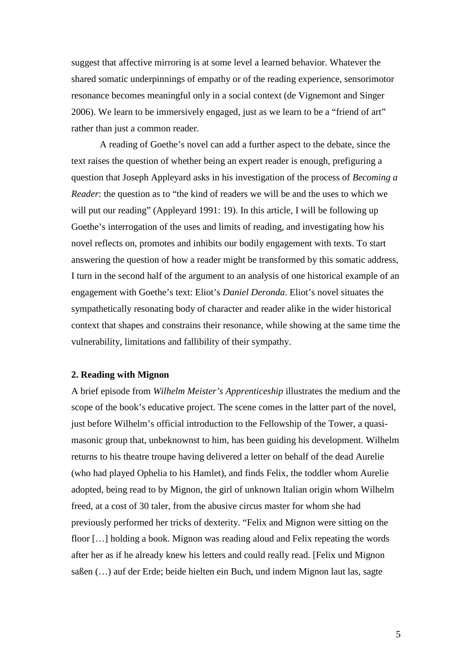suggest that affective mirroring is at some level a learned behavior. Whatever the shared somatic underpinnings of empathy or of the reading experience, sensorimotor resonance becomes meaningful only in a social context (de Vignemont and Singer 2006). We learn to be immersively engaged, just as we learn to be a "friend of art" rather than just a common reader.

A reading of Goethe's novel can add a further aspect to the debate, since the text raises the question of whether being an expert reader is enough, prefiguring a question that Joseph Appleyard asks in his investigation of the process of *Becoming a Reader*: the question as to "the kind of readers we will be and the uses to which we will put our reading" (Appleyard 1991: 19). In this article, I will be following up Goethe's interrogation of the uses and limits of reading, and investigating how his novel reflects on, promotes and inhibits our bodily engagement with texts. To start answering the question of how a reader might be transformed by this somatic address, I turn in the second half of the argument to an analysis of one historical example of an engagement with Goethe's text: Eliot's *Daniel Deronda*. Eliot's novel situates the sympathetically resonating body of character and reader alike in the wider historical context that shapes and constrains their resonance, while showing at the same time the vulnerability, limitations and fallibility of their sympathy.

## **2. Reading with Mignon**

A brief episode from *Wilhelm Meister's Apprenticeship* illustrates the medium and the scope of the book's educative project. The scene comes in the latter part of the novel, just before Wilhelm's official introduction to the Fellowship of the Tower, a quasimasonic group that, unbeknownst to him, has been guiding his development. Wilhelm returns to his theatre troupe having delivered a letter on behalf of the dead Aurelie (who had played Ophelia to his Hamlet), and finds Felix, the toddler whom Aurelie adopted, being read to by Mignon, the girl of unknown Italian origin whom Wilhelm freed, at a cost of 30 taler, from the abusive circus master for whom she had previously performed her tricks of dexterity. "Felix and Mignon were sitting on the floor […] holding a book. Mignon was reading aloud and Felix repeating the words after her as if he already knew his letters and could really read. [Felix und Mignon saßen (…) auf der Erde; beide hielten ein Buch, und indem Mignon laut las, sagte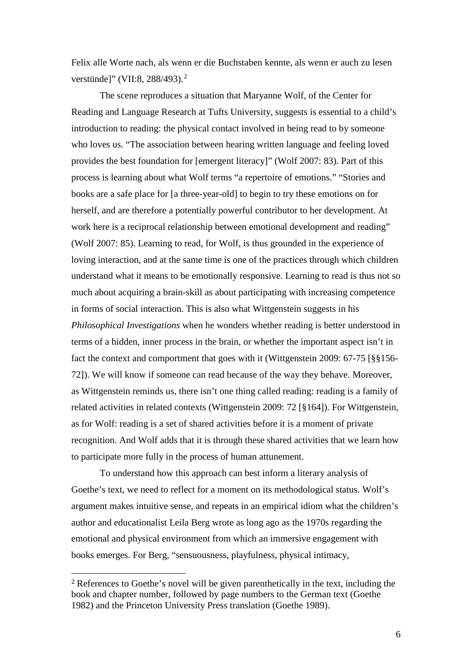Felix alle Worte nach, als wenn er die Buchstaben kennte, als wenn er auch zu lesen verstünde]" (VII:8, [2](#page-5-0)88/493).<sup>2</sup>

The scene reproduces a situation that Maryanne Wolf, of the Center for Reading and Language Research at Tufts University, suggests is essential to a child's introduction to reading: the physical contact involved in being read to by someone who loves us. "The association between hearing written language and feeling loved provides the best foundation for [emergent literacy]" (Wolf 2007: 83). Part of this process is learning about what Wolf terms "a repertoire of emotions." "Stories and books are a safe place for [a three-year-old] to begin to try these emotions on for herself, and are therefore a potentially powerful contributor to her development. At work here is a reciprocal relationship between emotional development and reading" (Wolf 2007: 85). Learning to read, for Wolf, is thus grounded in the experience of loving interaction, and at the same time is one of the practices through which children understand what it means to be emotionally responsive. Learning to read is thus not so much about acquiring a brain-skill as about participating with increasing competence in forms of social interaction. This is also what Wittgenstein suggests in his *Philosophical Investigations* when he wonders whether reading is better understood in terms of a hidden, inner process in the brain, or whether the important aspect isn't in fact the context and comportment that goes with it (Wittgenstein 2009: 67-75 [§§156- 72]). We will know if someone can read because of the way they behave. Moreover, as Wittgenstein reminds us, there isn't one thing called reading: reading is a family of related activities in related contexts (Wittgenstein 2009: 72 [§164]). For Wittgenstein, as for Wolf: reading is a set of shared activities before it is a moment of private recognition. And Wolf adds that it is through these shared activities that we learn how to participate more fully in the process of human attunement.

To understand how this approach can best inform a literary analysis of Goethe's text, we need to reflect for a moment on its methodological status. Wolf's argument makes intuitive sense, and repeats in an empirical idiom what the children's author and educationalist Leila Berg wrote as long ago as the 1970s regarding the emotional and physical environment from which an immersive engagement with books emerges. For Berg, "sensuousness, playfulness, physical intimacy,

<span id="page-5-0"></span> <sup>2</sup> References to Goethe's novel will be given parenthetically in the text, including the book and chapter number, followed by page numbers to the German text (Goethe 1982) and the Princeton University Press translation (Goethe 1989).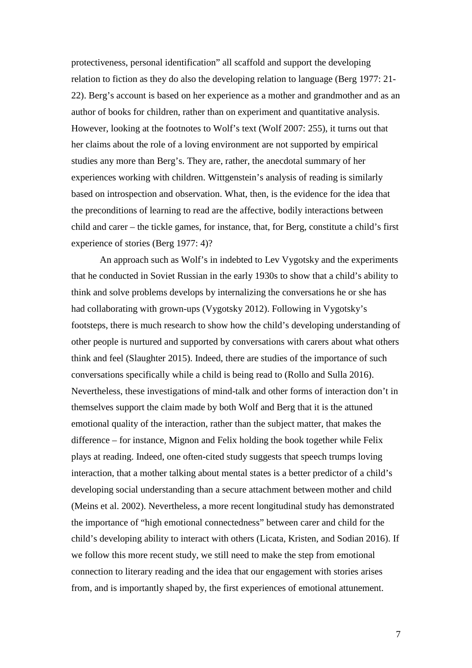protectiveness, personal identification" all scaffold and support the developing relation to fiction as they do also the developing relation to language (Berg 1977: 21- 22). Berg's account is based on her experience as a mother and grandmother and as an author of books for children, rather than on experiment and quantitative analysis. However, looking at the footnotes to Wolf's text (Wolf 2007: 255), it turns out that her claims about the role of a loving environment are not supported by empirical studies any more than Berg's. They are, rather, the anecdotal summary of her experiences working with children. Wittgenstein's analysis of reading is similarly based on introspection and observation. What, then, is the evidence for the idea that the preconditions of learning to read are the affective, bodily interactions between child and carer – the tickle games, for instance, that, for Berg, constitute a child's first experience of stories (Berg 1977: 4)?

An approach such as Wolf's in indebted to Lev Vygotsky and the experiments that he conducted in Soviet Russian in the early 1930s to show that a child's ability to think and solve problems develops by internalizing the conversations he or she has had collaborating with grown-ups (Vygotsky 2012). Following in Vygotsky's footsteps, there is much research to show how the child's developing understanding of other people is nurtured and supported by conversations with carers about what others think and feel (Slaughter 2015). Indeed, there are studies of the importance of such conversations specifically while a child is being read to (Rollo and Sulla 2016). Nevertheless, these investigations of mind-talk and other forms of interaction don't in themselves support the claim made by both Wolf and Berg that it is the attuned emotional quality of the interaction, rather than the subject matter, that makes the difference – for instance, Mignon and Felix holding the book together while Felix plays at reading. Indeed, one often-cited study suggests that speech trumps loving interaction, that a mother talking about mental states is a better predictor of a child's developing social understanding than a secure attachment between mother and child (Meins et al. 2002). Nevertheless, a more recent longitudinal study has demonstrated the importance of "high emotional connectedness" between carer and child for the child's developing ability to interact with others (Licata, Kristen, and Sodian 2016). If we follow this more recent study, we still need to make the step from emotional connection to literary reading and the idea that our engagement with stories arises from, and is importantly shaped by, the first experiences of emotional attunement.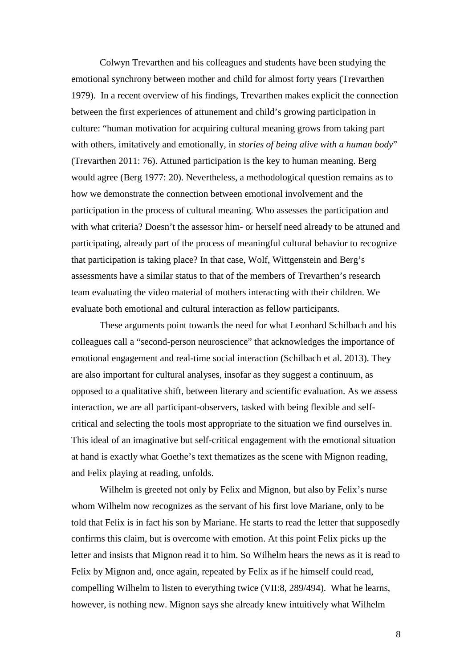Colwyn Trevarthen and his colleagues and students have been studying the emotional synchrony between mother and child for almost forty years (Trevarthen 1979). In a recent overview of his findings, Trevarthen makes explicit the connection between the first experiences of attunement and child's growing participation in culture: "human motivation for acquiring cultural meaning grows from taking part with others, imitatively and emotionally, in *stories of being alive with a human body*" (Trevarthen 2011: 76). Attuned participation is the key to human meaning. Berg would agree (Berg 1977: 20). Nevertheless, a methodological question remains as to how we demonstrate the connection between emotional involvement and the participation in the process of cultural meaning. Who assesses the participation and with what criteria? Doesn't the assessor him- or herself need already to be attuned and participating, already part of the process of meaningful cultural behavior to recognize that participation is taking place? In that case, Wolf, Wittgenstein and Berg's assessments have a similar status to that of the members of Trevarthen's research team evaluating the video material of mothers interacting with their children. We evaluate both emotional and cultural interaction as fellow participants.

These arguments point towards the need for what Leonhard Schilbach and his colleagues call a "second-person neuroscience" that acknowledges the importance of emotional engagement and real-time social interaction (Schilbach et al. 2013). They are also important for cultural analyses, insofar as they suggest a continuum, as opposed to a qualitative shift, between literary and scientific evaluation. As we assess interaction, we are all participant-observers, tasked with being flexible and selfcritical and selecting the tools most appropriate to the situation we find ourselves in. This ideal of an imaginative but self-critical engagement with the emotional situation at hand is exactly what Goethe's text thematizes as the scene with Mignon reading, and Felix playing at reading, unfolds.

Wilhelm is greeted not only by Felix and Mignon, but also by Felix's nurse whom Wilhelm now recognizes as the servant of his first love Mariane, only to be told that Felix is in fact his son by Mariane. He starts to read the letter that supposedly confirms this claim, but is overcome with emotion. At this point Felix picks up the letter and insists that Mignon read it to him. So Wilhelm hears the news as it is read to Felix by Mignon and, once again, repeated by Felix as if he himself could read, compelling Wilhelm to listen to everything twice (VII:8, 289/494). What he learns, however, is nothing new. Mignon says she already knew intuitively what Wilhelm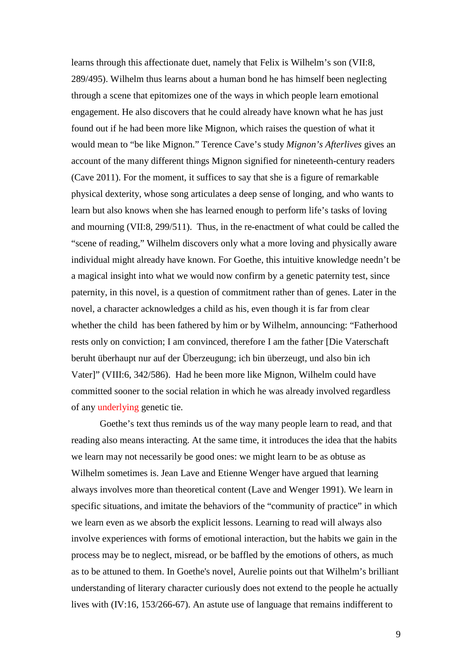learns through this affectionate duet, namely that Felix is Wilhelm's son (VII:8, 289/495). Wilhelm thus learns about a human bond he has himself been neglecting through a scene that epitomizes one of the ways in which people learn emotional engagement. He also discovers that he could already have known what he has just found out if he had been more like Mignon, which raises the question of what it would mean to "be like Mignon." Terence Cave's study *Mignon's Afterlives* gives an account of the many different things Mignon signified for nineteenth-century readers (Cave 2011). For the moment, it suffices to say that she is a figure of remarkable physical dexterity, whose song articulates a deep sense of longing, and who wants to learn but also knows when she has learned enough to perform life's tasks of loving and mourning (VII:8, 299/511). Thus, in the re-enactment of what could be called the "scene of reading," Wilhelm discovers only what a more loving and physically aware individual might already have known. For Goethe, this intuitive knowledge needn't be a magical insight into what we would now confirm by a genetic paternity test, since paternity, in this novel, is a question of commitment rather than of genes. Later in the novel, a character acknowledges a child as his, even though it is far from clear whether the child has been fathered by him or by Wilhelm, announcing: "Fatherhood rests only on conviction; I am convinced, therefore I am the father [Die Vaterschaft beruht überhaupt nur auf der Überzeugung; ich bin überzeugt, und also bin ich Vater]" (VIII:6, 342/586). Had he been more like Mignon, Wilhelm could have committed sooner to the social relation in which he was already involved regardless of any underlying genetic tie.

Goethe's text thus reminds us of the way many people learn to read, and that reading also means interacting. At the same time, it introduces the idea that the habits we learn may not necessarily be good ones: we might learn to be as obtuse as Wilhelm sometimes is. Jean Lave and Etienne Wenger have argued that learning always involves more than theoretical content (Lave and Wenger 1991). We learn in specific situations, and imitate the behaviors of the "community of practice" in which we learn even as we absorb the explicit lessons. Learning to read will always also involve experiences with forms of emotional interaction, but the habits we gain in the process may be to neglect, misread, or be baffled by the emotions of others, as much as to be attuned to them. In Goethe's novel, Aurelie points out that Wilhelm's brilliant understanding of literary character curiously does not extend to the people he actually lives with (IV:16, 153/266-67). An astute use of language that remains indifferent to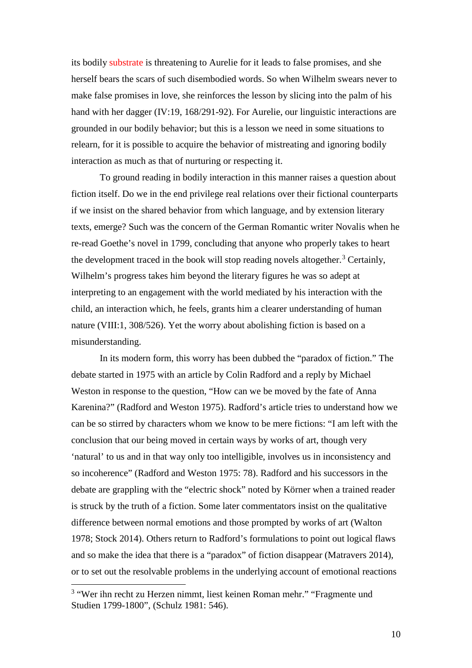its bodily substrate is threatening to Aurelie for it leads to false promises, and she herself bears the scars of such disembodied words. So when Wilhelm swears never to make false promises in love, she reinforces the lesson by slicing into the palm of his hand with her dagger (IV:19, 168/291-92). For Aurelie, our linguistic interactions are grounded in our bodily behavior; but this is a lesson we need in some situations to relearn, for it is possible to acquire the behavior of mistreating and ignoring bodily interaction as much as that of nurturing or respecting it.

To ground reading in bodily interaction in this manner raises a question about fiction itself. Do we in the end privilege real relations over their fictional counterparts if we insist on the shared behavior from which language, and by extension literary texts, emerge? Such was the concern of the German Romantic writer Novalis when he re-read Goethe's novel in 1799, concluding that anyone who properly takes to heart the development traced in the book will stop reading novels altogether.<sup>[3](#page-9-0)</sup> Certainly, Wilhelm's progress takes him beyond the literary figures he was so adept at interpreting to an engagement with the world mediated by his interaction with the child, an interaction which, he feels, grants him a clearer understanding of human nature (VIII:1, 308/526). Yet the worry about abolishing fiction is based on a misunderstanding.

In its modern form, this worry has been dubbed the "paradox of fiction." The debate started in 1975 with an article by Colin Radford and a reply by Michael Weston in response to the question, "How can we be moved by the fate of Anna Karenina?" (Radford and Weston 1975). Radford's article tries to understand how we can be so stirred by characters whom we know to be mere fictions: "I am left with the conclusion that our being moved in certain ways by works of art, though very 'natural' to us and in that way only too intelligible, involves us in inconsistency and so incoherence" (Radford and Weston 1975: 78). Radford and his successors in the debate are grappling with the "electric shock" noted by Körner when a trained reader is struck by the truth of a fiction. Some later commentators insist on the qualitative difference between normal emotions and those prompted by works of art (Walton 1978; Stock 2014). Others return to Radford's formulations to point out logical flaws and so make the idea that there is a "paradox" of fiction disappear (Matravers 2014), or to set out the resolvable problems in the underlying account of emotional reactions

<span id="page-9-0"></span><sup>&</sup>lt;sup>3</sup> "Wer ihn recht zu Herzen nimmt, liest keinen Roman mehr." "Fragmente und Studien 1799-1800", (Schulz 1981: 546).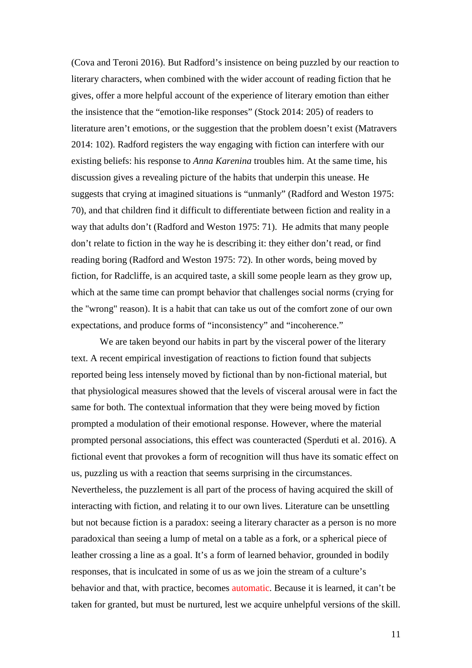(Cova and Teroni 2016). But Radford's insistence on being puzzled by our reaction to literary characters, when combined with the wider account of reading fiction that he gives, offer a more helpful account of the experience of literary emotion than either the insistence that the "emotion-like responses" (Stock 2014: 205) of readers to literature aren't emotions, or the suggestion that the problem doesn't exist (Matravers 2014: 102). Radford registers the way engaging with fiction can interfere with our existing beliefs: his response to *Anna Karenina* troubles him. At the same time, his discussion gives a revealing picture of the habits that underpin this unease. He suggests that crying at imagined situations is "unmanly" (Radford and Weston 1975: 70), and that children find it difficult to differentiate between fiction and reality in a way that adults don't (Radford and Weston 1975: 71). He admits that many people don't relate to fiction in the way he is describing it: they either don't read, or find reading boring (Radford and Weston 1975: 72). In other words, being moved by fiction, for Radcliffe, is an acquired taste, a skill some people learn as they grow up, which at the same time can prompt behavior that challenges social norms (crying for the "wrong" reason). It is a habit that can take us out of the comfort zone of our own expectations, and produce forms of "inconsistency" and "incoherence."

We are taken beyond our habits in part by the visceral power of the literary text. A recent empirical investigation of reactions to fiction found that subjects reported being less intensely moved by fictional than by non-fictional material, but that physiological measures showed that the levels of visceral arousal were in fact the same for both. The contextual information that they were being moved by fiction prompted a modulation of their emotional response. However, where the material prompted personal associations, this effect was counteracted (Sperduti et al. 2016). A fictional event that provokes a form of recognition will thus have its somatic effect on us, puzzling us with a reaction that seems surprising in the circumstances. Nevertheless, the puzzlement is all part of the process of having acquired the skill of interacting with fiction, and relating it to our own lives. Literature can be unsettling but not because fiction is a paradox: seeing a literary character as a person is no more paradoxical than seeing a lump of metal on a table as a fork, or a spherical piece of leather crossing a line as a goal. It's a form of learned behavior, grounded in bodily responses, that is inculcated in some of us as we join the stream of a culture's behavior and that, with practice, becomes automatic. Because it is learned, it can't be taken for granted, but must be nurtured, lest we acquire unhelpful versions of the skill.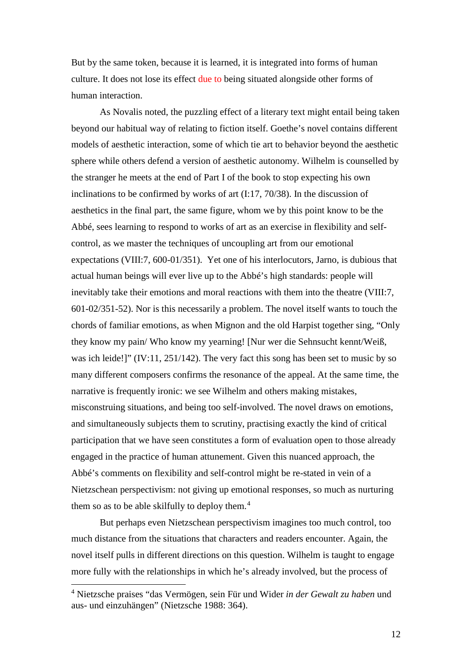But by the same token, because it is learned, it is integrated into forms of human culture. It does not lose its effect due to being situated alongside other forms of human interaction.

As Novalis noted, the puzzling effect of a literary text might entail being taken beyond our habitual way of relating to fiction itself. Goethe's novel contains different models of aesthetic interaction, some of which tie art to behavior beyond the aesthetic sphere while others defend a version of aesthetic autonomy. Wilhelm is counselled by the stranger he meets at the end of Part I of the book to stop expecting his own inclinations to be confirmed by works of art (I:17, 70/38). In the discussion of aesthetics in the final part, the same figure, whom we by this point know to be the Abbé, sees learning to respond to works of art as an exercise in flexibility and selfcontrol, as we master the techniques of uncoupling art from our emotional expectations (VIII:7, 600-01/351). Yet one of his interlocutors, Jarno, is dubious that actual human beings will ever live up to the Abbé's high standards: people will inevitably take their emotions and moral reactions with them into the theatre (VIII:7, 601-02/351-52). Nor is this necessarily a problem. The novel itself wants to touch the chords of familiar emotions, as when Mignon and the old Harpist together sing, "Only they know my pain/ Who know my yearning! [Nur wer die Sehnsucht kennt/Weiß, was ich leide!]" (IV:11, 251/142). The very fact this song has been set to music by so many different composers confirms the resonance of the appeal. At the same time, the narrative is frequently ironic: we see Wilhelm and others making mistakes, misconstruing situations, and being too self-involved. The novel draws on emotions, and simultaneously subjects them to scrutiny, practising exactly the kind of critical participation that we have seen constitutes a form of evaluation open to those already engaged in the practice of human attunement. Given this nuanced approach, the Abbé's comments on flexibility and self-control might be re-stated in vein of a Nietzschean perspectivism: not giving up emotional responses, so much as nurturing them so as to be able skilfully to deploy them. $4$ 

But perhaps even Nietzschean perspectivism imagines too much control, too much distance from the situations that characters and readers encounter. Again, the novel itself pulls in different directions on this question. Wilhelm is taught to engage more fully with the relationships in which he's already involved, but the process of

<span id="page-11-0"></span><sup>4</sup> Nietzsche praises "das Vermögen, sein Für und Wider *in der Gewalt zu haben* und aus- und einzuhängen" (Nietzsche 1988: 364).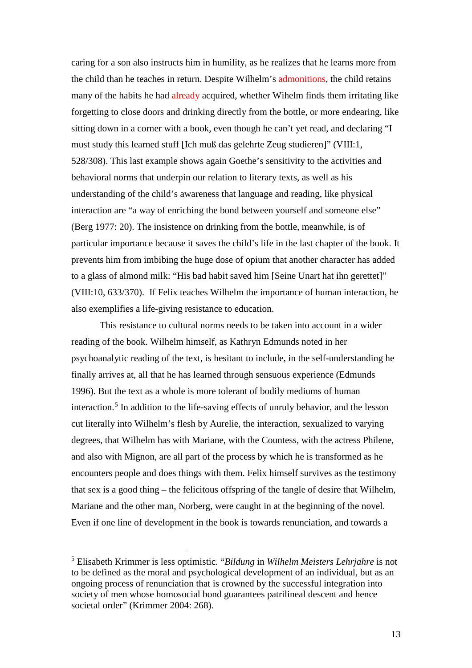caring for a son also instructs him in humility, as he realizes that he learns more from the child than he teaches in return. Despite Wilhelm's admonitions, the child retains many of the habits he had already acquired, whether Wihelm finds them irritating like forgetting to close doors and drinking directly from the bottle, or more endearing, like sitting down in a corner with a book, even though he can't yet read, and declaring "I must study this learned stuff [Ich muß das gelehrte Zeug studieren]" (VIII:1, 528/308). This last example shows again Goethe's sensitivity to the activities and behavioral norms that underpin our relation to literary texts, as well as his understanding of the child's awareness that language and reading, like physical interaction are "a way of enriching the bond between yourself and someone else" (Berg 1977: 20). The insistence on drinking from the bottle, meanwhile, is of particular importance because it saves the child's life in the last chapter of the book. It prevents him from imbibing the huge dose of opium that another character has added to a glass of almond milk: "His bad habit saved him [Seine Unart hat ihn gerettet]" (VIII:10, 633/370). If Felix teaches Wilhelm the importance of human interaction, he also exemplifies a life-giving resistance to education.

This resistance to cultural norms needs to be taken into account in a wider reading of the book. Wilhelm himself, as Kathryn Edmunds noted in her psychoanalytic reading of the text, is hesitant to include, in the self-understanding he finally arrives at, all that he has learned through sensuous experience (Edmunds 1996). But the text as a whole is more tolerant of bodily mediums of human interaction.<sup>[5](#page-12-0)</sup> In addition to the life-saving effects of unruly behavior, and the lesson cut literally into Wilhelm's flesh by Aurelie, the interaction, sexualized to varying degrees, that Wilhelm has with Mariane, with the Countess, with the actress Philene, and also with Mignon, are all part of the process by which he is transformed as he encounters people and does things with them. Felix himself survives as the testimony that sex is a good thing – the felicitous offspring of the tangle of desire that Wilhelm, Mariane and the other man, Norberg, were caught in at the beginning of the novel. Even if one line of development in the book is towards renunciation, and towards a

<span id="page-12-0"></span><sup>5</sup> Elisabeth Krimmer is less optimistic. "*Bildung* in *Wilhelm Meisters Lehrjahre* is not to be defined as the moral and psychological development of an individual, but as an ongoing process of renunciation that is crowned by the successful integration into society of men whose homosocial bond guarantees patrilineal descent and hence societal order" (Krimmer 2004: 268).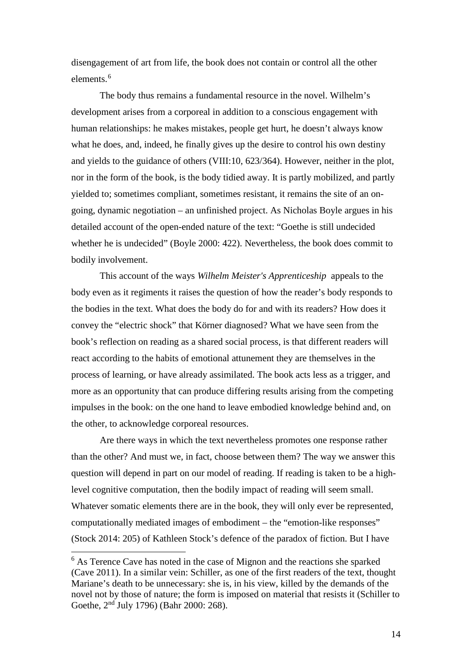disengagement of art from life, the book does not contain or control all the other elements.<sup>[6](#page-13-0)</sup>

The body thus remains a fundamental resource in the novel. Wilhelm's development arises from a corporeal in addition to a conscious engagement with human relationships: he makes mistakes, people get hurt, he doesn't always know what he does, and, indeed, he finally gives up the desire to control his own destiny and yields to the guidance of others (VIII:10, 623/364). However, neither in the plot, nor in the form of the book, is the body tidied away. It is partly mobilized, and partly yielded to; sometimes compliant, sometimes resistant, it remains the site of an ongoing, dynamic negotiation – an unfinished project. As Nicholas Boyle argues in his detailed account of the open-ended nature of the text: "Goethe is still undecided whether he is undecided" (Boyle 2000: 422). Nevertheless, the book does commit to bodily involvement.

This account of the ways *Wilhelm Meister's Apprenticeship* appeals to the body even as it regiments it raises the question of how the reader's body responds to the bodies in the text. What does the body do for and with its readers? How does it convey the "electric shock" that Körner diagnosed? What we have seen from the book's reflection on reading as a shared social process, is that different readers will react according to the habits of emotional attunement they are themselves in the process of learning, or have already assimilated. The book acts less as a trigger, and more as an opportunity that can produce differing results arising from the competing impulses in the book: on the one hand to leave embodied knowledge behind and, on the other, to acknowledge corporeal resources.

Are there ways in which the text nevertheless promotes one response rather than the other? And must we, in fact, choose between them? The way we answer this question will depend in part on our model of reading. If reading is taken to be a highlevel cognitive computation, then the bodily impact of reading will seem small. Whatever somatic elements there are in the book, they will only ever be represented, computationally mediated images of embodiment – the "emotion-like responses" (Stock 2014: 205) of Kathleen Stock's defence of the paradox of fiction. But I have

<span id="page-13-0"></span><sup>&</sup>lt;sup>6</sup> As Terence Cave has noted in the case of Mignon and the reactions she sparked (Cave 2011). In a similar vein: Schiller, as one of the first readers of the text, thought Mariane's death to be unnecessary: she is, in his view, killed by the demands of the novel not by those of nature; the form is imposed on material that resists it (Schiller to Goethe, 2nd July 1796) (Bahr 2000: 268).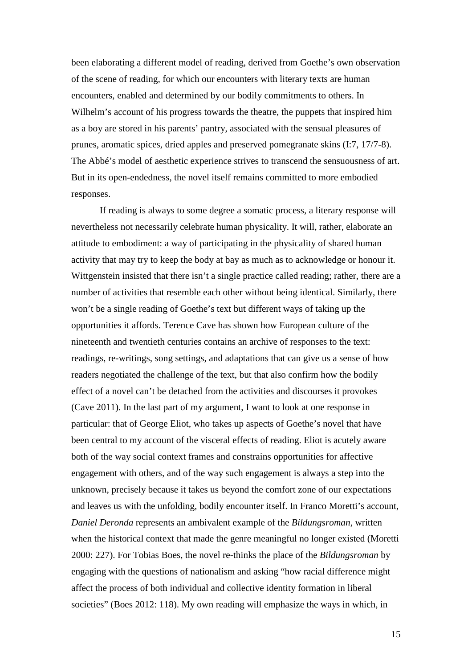been elaborating a different model of reading, derived from Goethe's own observation of the scene of reading, for which our encounters with literary texts are human encounters, enabled and determined by our bodily commitments to others. In Wilhelm's account of his progress towards the theatre, the puppets that inspired him as a boy are stored in his parents' pantry, associated with the sensual pleasures of prunes, aromatic spices, dried apples and preserved pomegranate skins (I:7, 17/7-8). The Abbé's model of aesthetic experience strives to transcend the sensuousness of art. But in its open-endedness, the novel itself remains committed to more embodied responses.

If reading is always to some degree a somatic process, a literary response will nevertheless not necessarily celebrate human physicality. It will, rather, elaborate an attitude to embodiment: a way of participating in the physicality of shared human activity that may try to keep the body at bay as much as to acknowledge or honour it. Wittgenstein insisted that there isn't a single practice called reading; rather, there are a number of activities that resemble each other without being identical. Similarly, there won't be a single reading of Goethe's text but different ways of taking up the opportunities it affords. Terence Cave has shown how European culture of the nineteenth and twentieth centuries contains an archive of responses to the text: readings, re-writings, song settings, and adaptations that can give us a sense of how readers negotiated the challenge of the text, but that also confirm how the bodily effect of a novel can't be detached from the activities and discourses it provokes (Cave 2011). In the last part of my argument, I want to look at one response in particular: that of George Eliot, who takes up aspects of Goethe's novel that have been central to my account of the visceral effects of reading. Eliot is acutely aware both of the way social context frames and constrains opportunities for affective engagement with others, and of the way such engagement is always a step into the unknown, precisely because it takes us beyond the comfort zone of our expectations and leaves us with the unfolding, bodily encounter itself. In Franco Moretti's account, *Daniel Deronda* represents an ambivalent example of the *Bildungsroman*, written when the historical context that made the genre meaningful no longer existed (Moretti 2000: 227). For Tobias Boes, the novel re-thinks the place of the *Bildungsroman* by engaging with the questions of nationalism and asking "how racial difference might affect the process of both individual and collective identity formation in liberal societies" (Boes 2012: 118). My own reading will emphasize the ways in which, in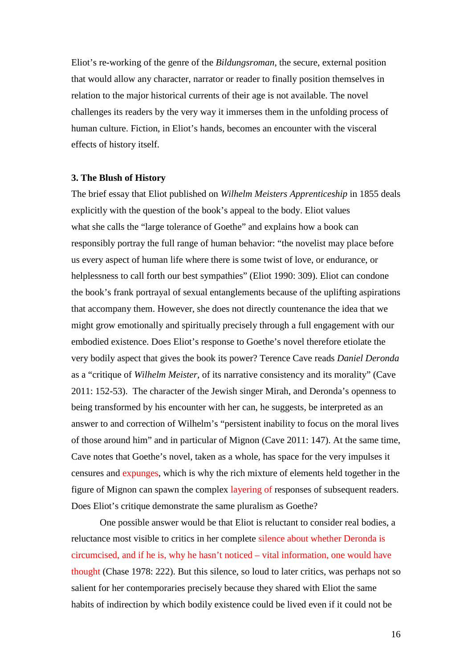Eliot's re-working of the genre of the *Bildungsroman*, the secure, external position that would allow any character, narrator or reader to finally position themselves in relation to the major historical currents of their age is not available. The novel challenges its readers by the very way it immerses them in the unfolding process of human culture. Fiction, in Eliot's hands, becomes an encounter with the visceral effects of history itself.

#### **3. The Blush of History**

The brief essay that Eliot published on *Wilhelm Meisters Apprenticeship* in 1855 deals explicitly with the question of the book's appeal to the body. Eliot values what she calls the "large tolerance of Goethe" and explains how a book can responsibly portray the full range of human behavior: "the novelist may place before us every aspect of human life where there is some twist of love, or endurance, or helplessness to call forth our best sympathies" (Eliot 1990: 309). Eliot can condone the book's frank portrayal of sexual entanglements because of the uplifting aspirations that accompany them. However, she does not directly countenance the idea that we might grow emotionally and spiritually precisely through a full engagement with our embodied existence. Does Eliot's response to Goethe's novel therefore etiolate the very bodily aspect that gives the book its power? Terence Cave reads *Daniel Deronda* as a "critique of *Wilhelm Meister*, of its narrative consistency and its morality" (Cave 2011: 152-53). The character of the Jewish singer Mirah, and Deronda's openness to being transformed by his encounter with her can, he suggests, be interpreted as an answer to and correction of Wilhelm's "persistent inability to focus on the moral lives of those around him" and in particular of Mignon (Cave 2011: 147). At the same time, Cave notes that Goethe's novel, taken as a whole, has space for the very impulses it censures and expunges, which is why the rich mixture of elements held together in the figure of Mignon can spawn the complex layering of responses of subsequent readers. Does Eliot's critique demonstrate the same pluralism as Goethe?

One possible answer would be that Eliot is reluctant to consider real bodies, a reluctance most visible to critics in her complete silence about whether Deronda is circumcised, and if he is, why he hasn't noticed – vital information, one would have thought (Chase 1978: 222). But this silence, so loud to later critics, was perhaps not so salient for her contemporaries precisely because they shared with Eliot the same habits of indirection by which bodily existence could be lived even if it could not be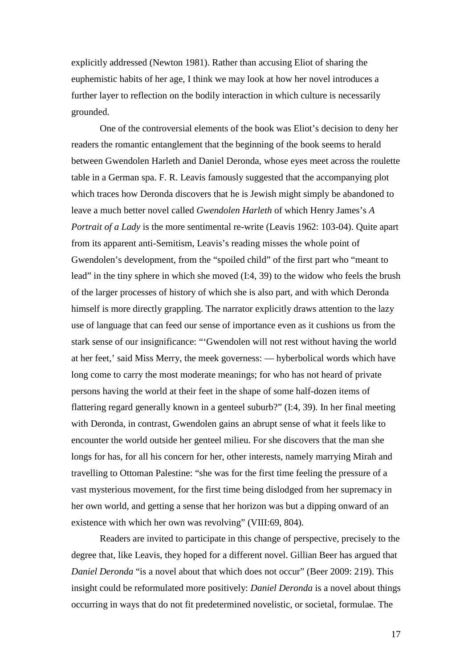explicitly addressed (Newton 1981). Rather than accusing Eliot of sharing the euphemistic habits of her age, I think we may look at how her novel introduces a further layer to reflection on the bodily interaction in which culture is necessarily grounded.

One of the controversial elements of the book was Eliot's decision to deny her readers the romantic entanglement that the beginning of the book seems to herald between Gwendolen Harleth and Daniel Deronda, whose eyes meet across the roulette table in a German spa. F. R. Leavis famously suggested that the accompanying plot which traces how Deronda discovers that he is Jewish might simply be abandoned to leave a much better novel called *Gwendolen Harleth* of which Henry James's *A Portrait of a Lady* is the more sentimental re-write (Leavis 1962: 103-04). Quite apart from its apparent anti-Semitism, Leavis's reading misses the whole point of Gwendolen's development, from the "spoiled child" of the first part who "meant to lead" in the tiny sphere in which she moved (I:4, 39) to the widow who feels the brush of the larger processes of history of which she is also part, and with which Deronda himself is more directly grappling. The narrator explicitly draws attention to the lazy use of language that can feed our sense of importance even as it cushions us from the stark sense of our insignificance: "'Gwendolen will not rest without having the world at her feet,' said Miss Merry, the meek governess: — hyberbolical words which have long come to carry the most moderate meanings; for who has not heard of private persons having the world at their feet in the shape of some half-dozen items of flattering regard generally known in a genteel suburb?" (I:4, 39). In her final meeting with Deronda, in contrast, Gwendolen gains an abrupt sense of what it feels like to encounter the world outside her genteel milieu. For she discovers that the man she longs for has, for all his concern for her, other interests, namely marrying Mirah and travelling to Ottoman Palestine: "she was for the first time feeling the pressure of a vast mysterious movement, for the first time being dislodged from her supremacy in her own world, and getting a sense that her horizon was but a dipping onward of an existence with which her own was revolving" (VIII:69, 804).

Readers are invited to participate in this change of perspective, precisely to the degree that, like Leavis, they hoped for a different novel. Gillian Beer has argued that *Daniel Deronda* "is a novel about that which does not occur" (Beer 2009: 219). This insight could be reformulated more positively: *Daniel Deronda* is a novel about things occurring in ways that do not fit predetermined novelistic, or societal, formulae. The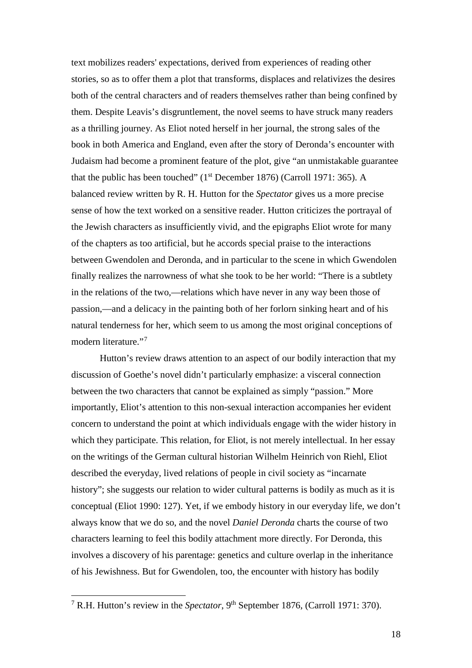text mobilizes readers' expectations, derived from experiences of reading other stories, so as to offer them a plot that transforms, displaces and relativizes the desires both of the central characters and of readers themselves rather than being confined by them. Despite Leavis's disgruntlement, the novel seems to have struck many readers as a thrilling journey. As Eliot noted herself in her journal, the strong sales of the book in both America and England, even after the story of Deronda's encounter with Judaism had become a prominent feature of the plot, give "an unmistakable guarantee that the public has been touched" ( $1<sup>st</sup>$  December 1876) (Carroll 1971: 365). A balanced review written by R. H. Hutton for the *Spectator* gives us a more precise sense of how the text worked on a sensitive reader. Hutton criticizes the portrayal of the Jewish characters as insufficiently vivid, and the epigraphs Eliot wrote for many of the chapters as too artificial, but he accords special praise to the interactions between Gwendolen and Deronda, and in particular to the scene in which Gwendolen finally realizes the narrowness of what she took to be her world: "There is a subtlety in the relations of the two,—relations which have never in any way been those of passion,—and a delicacy in the painting both of her forlorn sinking heart and of his natural tenderness for her, which seem to us among the most original conceptions of modern literature."<sup>[7](#page-17-0)</sup>

Hutton's review draws attention to an aspect of our bodily interaction that my discussion of Goethe's novel didn't particularly emphasize: a visceral connection between the two characters that cannot be explained as simply "passion." More importantly, Eliot's attention to this non-sexual interaction accompanies her evident concern to understand the point at which individuals engage with the wider history in which they participate. This relation, for Eliot, is not merely intellectual. In her essay on the writings of the German cultural historian Wilhelm Heinrich von Riehl, Eliot described the everyday, lived relations of people in civil society as "incarnate history"; she suggests our relation to wider cultural patterns is bodily as much as it is conceptual (Eliot 1990: 127). Yet, if we embody history in our everyday life, we don't always know that we do so, and the novel *Daniel Deronda* charts the course of two characters learning to feel this bodily attachment more directly. For Deronda, this involves a discovery of his parentage: genetics and culture overlap in the inheritance of his Jewishness. But for Gwendolen, too, the encounter with history has bodily

<span id="page-17-0"></span><sup>&</sup>lt;sup>7</sup> R.H. Hutton's review in the *Spectator*, 9<sup>th</sup> September 1876, (Carroll 1971: 370).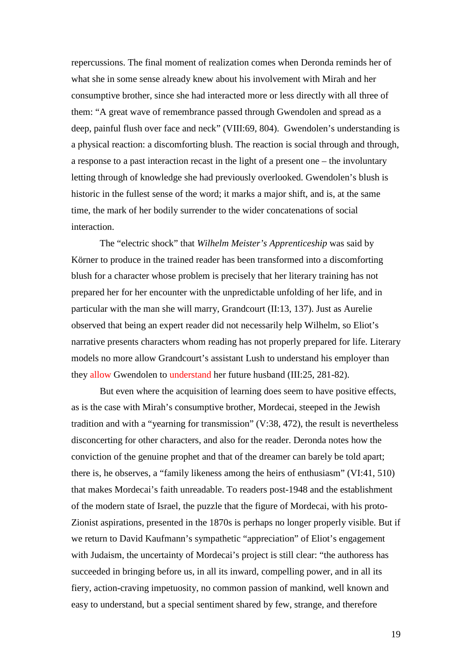repercussions. The final moment of realization comes when Deronda reminds her of what she in some sense already knew about his involvement with Mirah and her consumptive brother, since she had interacted more or less directly with all three of them: "A great wave of remembrance passed through Gwendolen and spread as a deep, painful flush over face and neck" (VIII:69, 804). Gwendolen's understanding is a physical reaction: a discomforting blush. The reaction is social through and through, a response to a past interaction recast in the light of a present one – the involuntary letting through of knowledge she had previously overlooked. Gwendolen's blush is historic in the fullest sense of the word; it marks a major shift, and is, at the same time, the mark of her bodily surrender to the wider concatenations of social interaction.

The "electric shock" that *Wilhelm Meister's Apprenticeship* was said by Körner to produce in the trained reader has been transformed into a discomforting blush for a character whose problem is precisely that her literary training has not prepared her for her encounter with the unpredictable unfolding of her life, and in particular with the man she will marry, Grandcourt (II:13, 137). Just as Aurelie observed that being an expert reader did not necessarily help Wilhelm, so Eliot's narrative presents characters whom reading has not properly prepared for life. Literary models no more allow Grandcourt's assistant Lush to understand his employer than they allow Gwendolen to understand her future husband (III:25, 281-82).

But even where the acquisition of learning does seem to have positive effects, as is the case with Mirah's consumptive brother, Mordecai, steeped in the Jewish tradition and with a "yearning for transmission" (V:38, 472), the result is nevertheless disconcerting for other characters, and also for the reader. Deronda notes how the conviction of the genuine prophet and that of the dreamer can barely be told apart; there is, he observes, a "family likeness among the heirs of enthusiasm" (VI:41, 510) that makes Mordecai's faith unreadable. To readers post-1948 and the establishment of the modern state of Israel, the puzzle that the figure of Mordecai, with his proto-Zionist aspirations, presented in the 1870s is perhaps no longer properly visible. But if we return to David Kaufmann's sympathetic "appreciation" of Eliot's engagement with Judaism, the uncertainty of Mordecai's project is still clear: "the authoress has succeeded in bringing before us, in all its inward, compelling power, and in all its fiery, action-craving impetuosity, no common passion of mankind, well known and easy to understand, but a special sentiment shared by few, strange, and therefore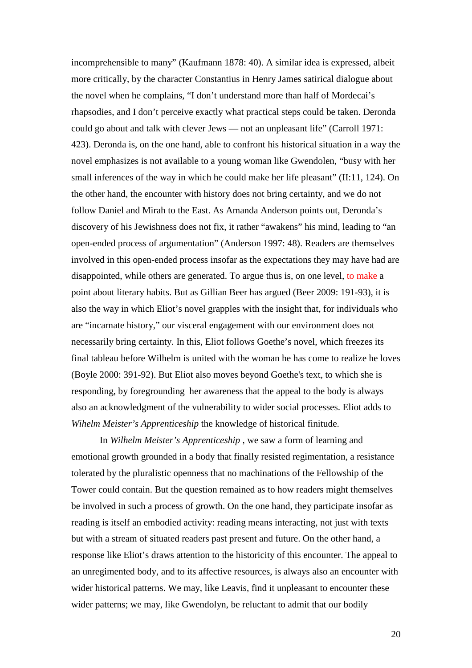incomprehensible to many" (Kaufmann 1878: 40). A similar idea is expressed, albeit more critically, by the character Constantius in Henry James satirical dialogue about the novel when he complains, "I don't understand more than half of Mordecai's rhapsodies, and I don't perceive exactly what practical steps could be taken. Deronda could go about and talk with clever Jews — not an unpleasant life" (Carroll 1971: 423). Deronda is, on the one hand, able to confront his historical situation in a way the novel emphasizes is not available to a young woman like Gwendolen, "busy with her small inferences of the way in which he could make her life pleasant" (II:11, 124). On the other hand, the encounter with history does not bring certainty, and we do not follow Daniel and Mirah to the East. As Amanda Anderson points out, Deronda's discovery of his Jewishness does not fix, it rather "awakens" his mind, leading to "an open-ended process of argumentation" (Anderson 1997: 48). Readers are themselves involved in this open-ended process insofar as the expectations they may have had are disappointed, while others are generated. To argue thus is, on one level, to make a point about literary habits. But as Gillian Beer has argued (Beer 2009: 191-93), it is also the way in which Eliot's novel grapples with the insight that, for individuals who are "incarnate history," our visceral engagement with our environment does not necessarily bring certainty. In this, Eliot follows Goethe's novel, which freezes its final tableau before Wilhelm is united with the woman he has come to realize he loves (Boyle 2000: 391-92). But Eliot also moves beyond Goethe's text, to which she is responding, by foregrounding her awareness that the appeal to the body is always also an acknowledgment of the vulnerability to wider social processes. Eliot adds to *Wihelm Meister's Apprenticeship* the knowledge of historical finitude.

In *Wilhelm Meister's Apprenticeship* , we saw a form of learning and emotional growth grounded in a body that finally resisted regimentation, a resistance tolerated by the pluralistic openness that no machinations of the Fellowship of the Tower could contain. But the question remained as to how readers might themselves be involved in such a process of growth. On the one hand, they participate insofar as reading is itself an embodied activity: reading means interacting, not just with texts but with a stream of situated readers past present and future. On the other hand, a response like Eliot's draws attention to the historicity of this encounter. The appeal to an unregimented body, and to its affective resources, is always also an encounter with wider historical patterns. We may, like Leavis, find it unpleasant to encounter these wider patterns; we may, like Gwendolyn, be reluctant to admit that our bodily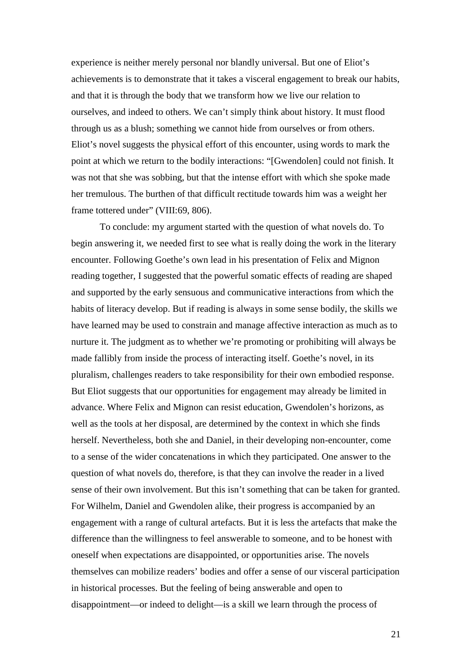experience is neither merely personal nor blandly universal. But one of Eliot's achievements is to demonstrate that it takes a visceral engagement to break our habits, and that it is through the body that we transform how we live our relation to ourselves, and indeed to others. We can't simply think about history. It must flood through us as a blush; something we cannot hide from ourselves or from others. Eliot's novel suggests the physical effort of this encounter, using words to mark the point at which we return to the bodily interactions: "[Gwendolen] could not finish. It was not that she was sobbing, but that the intense effort with which she spoke made her tremulous. The burthen of that difficult rectitude towards him was a weight her frame tottered under" (VIII:69, 806).

To conclude: my argument started with the question of what novels do. To begin answering it, we needed first to see what is really doing the work in the literary encounter. Following Goethe's own lead in his presentation of Felix and Mignon reading together, I suggested that the powerful somatic effects of reading are shaped and supported by the early sensuous and communicative interactions from which the habits of literacy develop. But if reading is always in some sense bodily, the skills we have learned may be used to constrain and manage affective interaction as much as to nurture it. The judgment as to whether we're promoting or prohibiting will always be made fallibly from inside the process of interacting itself. Goethe's novel, in its pluralism, challenges readers to take responsibility for their own embodied response. But Eliot suggests that our opportunities for engagement may already be limited in advance. Where Felix and Mignon can resist education, Gwendolen's horizons, as well as the tools at her disposal, are determined by the context in which she finds herself. Nevertheless, both she and Daniel, in their developing non-encounter, come to a sense of the wider concatenations in which they participated. One answer to the question of what novels do, therefore, is that they can involve the reader in a lived sense of their own involvement. But this isn't something that can be taken for granted. For Wilhelm, Daniel and Gwendolen alike, their progress is accompanied by an engagement with a range of cultural artefacts. But it is less the artefacts that make the difference than the willingness to feel answerable to someone, and to be honest with oneself when expectations are disappointed, or opportunities arise. The novels themselves can mobilize readers' bodies and offer a sense of our visceral participation in historical processes. But the feeling of being answerable and open to disappointment—or indeed to delight—is a skill we learn through the process of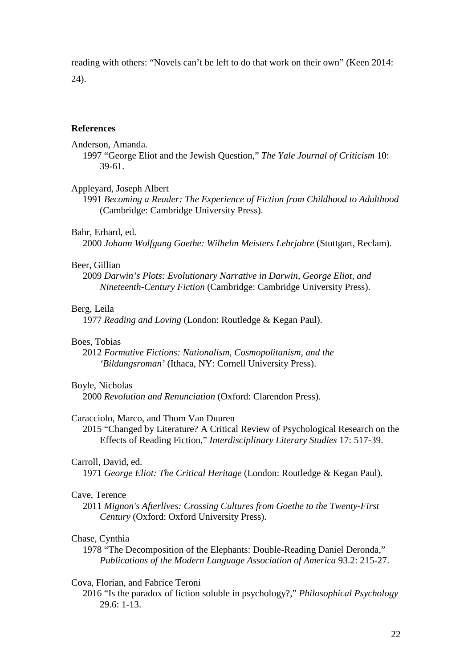reading with others: "Novels can't be left to do that work on their own" (Keen 2014: 24).

## **References**

Anderson, Amanda.

1997 "George Eliot and the Jewish Question," *The Yale Journal of Criticism* 10: 39-61.

## Appleyard, Joseph Albert

1991 *Becoming a Reader: The Experience of Fiction from Childhood to Adulthood* (Cambridge: Cambridge University Press).

## Bahr, Erhard, ed.

2000 *Johann Wolfgang Goethe: Wilhelm Meisters Lehrjahre* (Stuttgart, Reclam).

#### Beer, Gillian

2009 *Darwin's Plots: Evolutionary Narrative in Darwin, George Eliot, and Nineteenth-Century Fiction* (Cambridge: Cambridge University Press).

## Berg, Leila

1977 *Reading and Loving* (London: Routledge & Kegan Paul).

#### Boes, Tobias

2012 *Formative Fictions: Nationalism, Cosmopolitanism, and the 'Bildungsroman'* (Ithaca, NY: Cornell University Press).

## Boyle, Nicholas

2000 *Revolution and Renunciation* (Oxford: Clarendon Press).

## Caracciolo, Marco, and Thom Van Duuren

2015 "Changed by Literature? A Critical Review of Psychological Research on the Effects of Reading Fiction," *Interdisciplinary Literary Studies* 17: 517-39.

## Carroll, David, ed.

1971 *George Eliot: The Critical Heritage* (London: Routledge & Kegan Paul).

## Cave, Terence

2011 *Mignon's Afterlives: Crossing Cultures from Goethe to the Twenty-First Century* (Oxford: Oxford University Press).

#### Chase, Cynthia

1978 "The Decomposition of the Elephants: Double-Reading Daniel Deronda," *Publications of the Modern Language Association of America* 93.2: 215-27.

## Cova, Florian, and Fabrice Teroni

2016 "Is the paradox of fiction soluble in psychology?," *Philosophical Psychology* 29.6: 1-13.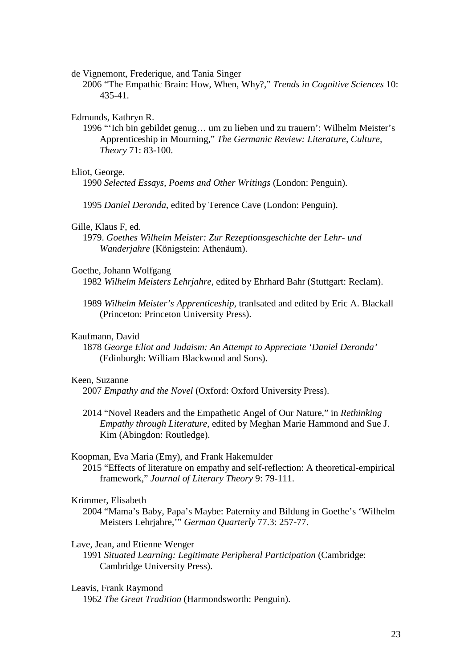de Vignemont, Frederique, and Tania Singer

2006 "The Empathic Brain: How, When, Why?," *Trends in Cognitive Sciences* 10: 435-41.

## Edmunds, Kathryn R.

1996 "'Ich bin gebildet genug… um zu lieben und zu trauern': Wilhelm Meister's Apprenticeship in Mourning," *The Germanic Review: Literature, Culture, Theory* 71: 83-100.

## Eliot, George.

1990 *Selected Essays, Poems and Other Writings* (London: Penguin).

1995 *Daniel Deronda*, edited by Terence Cave (London: Penguin).

## Gille, Klaus F, ed.

1979. *Goethes Wilhelm Meister: Zur Rezeptionsgeschichte der Lehr- und Wanderjahre* (Königstein: Athenäum).

## Goethe, Johann Wolfgang

1982 *Wilhelm Meisters Lehrjahre*, edited by Ehrhard Bahr (Stuttgart: Reclam).

1989 *Wilhelm Meister's Apprenticeship*, tranlsated and edited by Eric A. Blackall (Princeton: Princeton University Press).

## Kaufmann, David

1878 *George Eliot and Judaism: An Attempt to Appreciate 'Daniel Deronda'* (Edinburgh: William Blackwood and Sons).

## Keen, Suzanne

2007 *Empathy and the Novel* (Oxford: Oxford University Press).

2014 "Novel Readers and the Empathetic Angel of Our Nature," in *Rethinking Empathy through Literature*, edited by Meghan Marie Hammond and Sue J. Kim (Abingdon: Routledge).

#### Koopman, Eva Maria (Emy), and Frank Hakemulder

2015 "Effects of literature on empathy and self-reflection: A theoretical-empirical framework," *Journal of Literary Theory* 9: 79-111.

## Krimmer, Elisabeth

2004 "Mama's Baby, Papa's Maybe: Paternity and Bildung in Goethe's 'Wilhelm Meisters Lehrjahre,'" *German Quarterly* 77.3: 257-77.

#### Lave, Jean, and Etienne Wenger

- 1991 *Situated Learning: Legitimate Peripheral Participation* (Cambridge: Cambridge University Press).
- Leavis, Frank Raymond 1962 *The Great Tradition* (Harmondsworth: Penguin).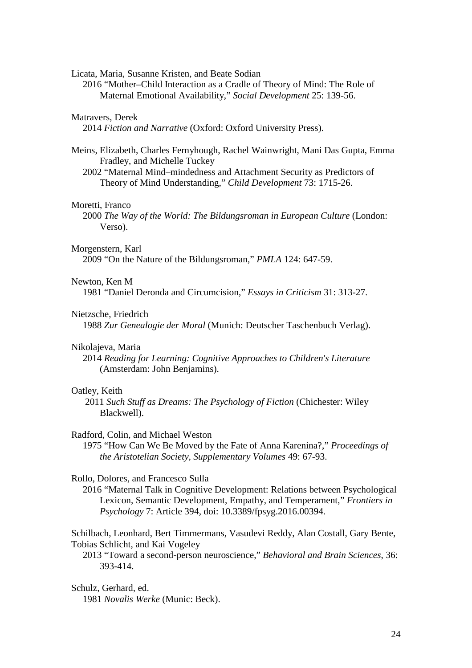Licata, Maria, Susanne Kristen, and Beate Sodian

2016 "Mother–Child Interaction as a Cradle of Theory of Mind: The Role of Maternal Emotional Availability," *Social Development* 25: 139-56.

## Matravers, Derek

2014 *Fiction and Narrative* (Oxford: Oxford University Press).

Meins, Elizabeth, Charles Fernyhough, Rachel Wainwright, Mani Das Gupta, Emma Fradley, and Michelle Tuckey

2002 "Maternal Mind–mindedness and Attachment Security as Predictors of Theory of Mind Understanding," *Child Development* 73: 1715-26.

## Moretti, Franco

2000 *The Way of the World: The Bildungsroman in European Culture* (London: Verso).

#### Morgenstern, Karl

2009 "On the Nature of the Bildungsroman," *PMLA* 124: 647-59.

## Newton, Ken M

1981 "Daniel Deronda and Circumcision," *Essays in Criticism* 31: 313-27.

#### Nietzsche, Friedrich

1988 *Zur Genealogie der Moral* (Munich: Deutscher Taschenbuch Verlag).

## Nikolajeva, Maria

2014 *Reading for Learning: Cognitive Approaches to Children's Literature* (Amsterdam: John Benjamins).

## Oatley, Keith

2011 *Such Stuff as Dreams: The Psychology of Fiction* (Chichester: Wiley Blackwell).

## Radford, Colin, and Michael Weston

1975 "How Can We Be Moved by the Fate of Anna Karenina?," *Proceedings of the Aristotelian Society, Supplementary Volumes* 49: 67-93.

## Rollo, Dolores, and Francesco Sulla

2016 "Maternal Talk in Cognitive Development: Relations between Psychological Lexicon, Semantic Development, Empathy, and Temperament," *Frontiers in Psychology* 7: Article 394, doi: 10.3389/fpsyg.2016.00394.

Schilbach, Leonhard, Bert Timmermans, Vasudevi Reddy, Alan Costall, Gary Bente, Tobias Schlicht, and Kai Vogeley

2013 "Toward a second-person neuroscience," *Behavioral and Brain Sciences*, 36: 393-414.

# Schulz, Gerhard, ed.

1981 *Novalis Werke* (Munic: Beck).